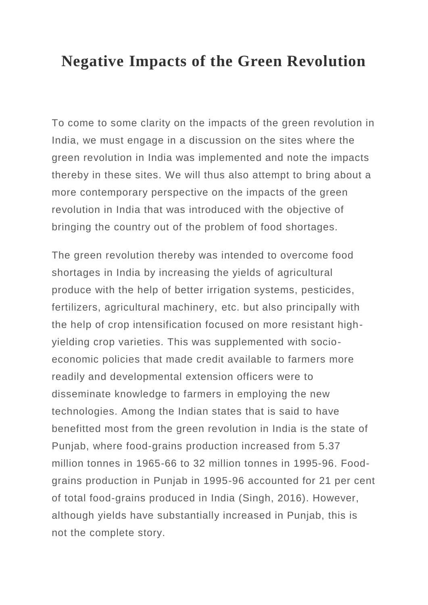## **Negative Impacts of the Green Revolution**

To come to some clarity on the impacts of the green revolution in India, we must engage in a discussion on the sites where the green revolution in India was implemented and note the impacts thereby in these sites. We will thus also attempt to bring about a more contemporary perspective on the impacts of the green revolution in India that was introduced with the objective of bringing the country out of the problem of food shortages.

The green revolution thereby was intended to overcome food shortages in India by increasing the yields of agricultural produce with the help of better irrigation systems, pesticides, fertilizers, agricultural machinery, etc. but also principally with the help of crop intensification focused on more resistant highyielding crop varieties. This was supplemented with socioeconomic policies that made credit available to farmers more readily and developmental extension officers were to disseminate knowledge to farmers in employing the new technologies. Among the Indian states that is said to have benefitted most from the green revolution in India is the state of Punjab, where food-grains production increased from 5.37 million tonnes in 1965-66 to 32 million tonnes in 1995-96. Foodgrains production in Punjab in 1995-96 accounted for 21 per cent of total food-grains produced in India (Singh, 2016). However, although yields have substantially increased in Punjab, this is not the complete story.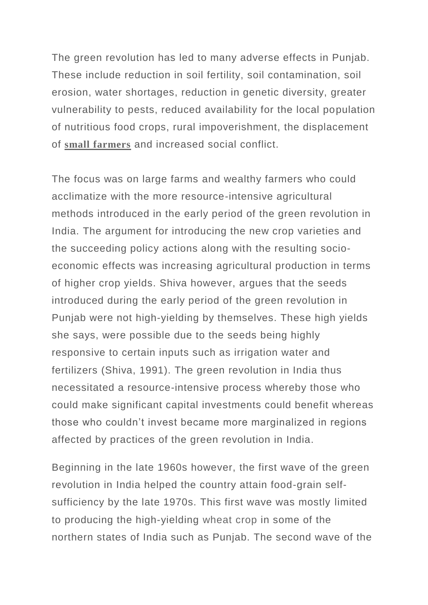The green revolution has led to many adverse effects in Punjab. These include reduction in soil fertility, soil contamination, soil erosion, water shortages, reduction in genetic diversity, greater vulnerability to pests, reduced availability for the local population of nutritious food crops, rural impoverishment, the displacement of **small [farmers](https://www.geographyandyou.com/agriculture/crops/organic-cultivation-boon-small-farmer/)** and increased social conflict.

The focus was on large farms and wealthy farmers who could acclimatize with the more resource-intensive agricultural methods introduced in the early period of the green revolution in India. The argument for introducing the new crop varieties and the succeeding policy actions along with the resulting socioeconomic effects was increasing agricultural production in terms of higher crop yields. Shiva however, argues that the seeds introduced during the early period of the green revolution in Punjab were not high-yielding by themselves. These high yields she says, were possible due to the seeds being highly responsive to certain inputs such as irrigation water and fertilizers (Shiva, 1991). The green revolution in India thus necessitated a resource-intensive process whereby those who could make significant capital investments could benefit whereas those who couldn't invest became more marginalized in regions affected by practices of the green revolution in India.

Beginning in the late 1960s however, the first wave of the green revolution in India helped the country attain food-grain selfsufficiency by the late 1970s. This first wave was mostly limited to producing the high-yielding wheat crop in some of the northern states of India such as Punjab. The second wave of the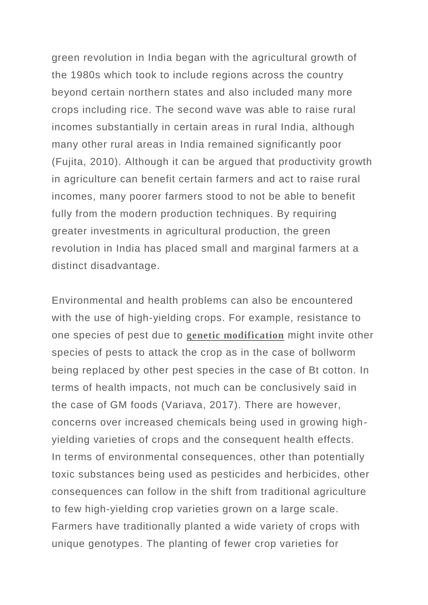green revolution in India began with the agricultural growth of the 1980s which took to include regions across the country beyond certain northern states and also included many more crops including rice. The second wave was able to raise rural incomes substantially in certain areas in rural India, although many other rural areas in India remained significantly poor (Fujita, 2010). Although it can be argued that productivity growth in agriculture can benefit certain farmers and act to raise rural incomes, many poorer farmers stood to not be able to benefit fully from the modern production techniques. By requiring greater investments in agricultural production, the green revolution in India has placed small and marginal farmers at a distinct disadvantage.

Environmental and health problems can also be encountered with the use of high-yielding crops. For example, resistance to one species of pest due to **genetic [modification](https://www.geographyandyou.com/agriculture/gm-food-imbroglio/)** might invite other species of pests to attack the crop as in the case of bollworm being replaced by other pest species in the case of Bt cotton. In terms of health impacts, not much can be conclusively said in the case of GM foods (Variava, 2017). There are however, concerns over increased chemicals being used in growing highyielding varieties of crops and the consequent health effects. In terms of environmental consequences, other than potentially toxic substances being used as pesticides and herbicides, other consequences can follow in the shift from traditional agriculture to few high-yielding crop varieties grown on a large scale. Farmers have traditionally planted a wide variety of crops with unique genotypes. The planting of fewer crop varieties for